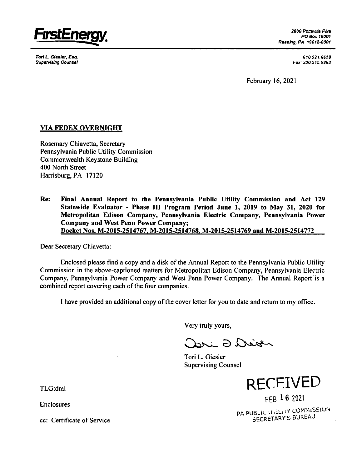

**Tori** *L. Giesler, Esq. Supe/viaing Counsel*

*2800 PottsvSe Pfre PO Bex 16001 Reading, PA 19612-8001*

> *610.921.6658 Fax: 330.315.9263*

February 16, 2021

## **VIA FEDEX OVERNIGHT**

Rosemary Chiavetta, Secretary Pennsylvania Public Utility Commission Commonwealth Keystone Building 400 North Street Harrisburg, PA 17120

**Re: Final Annual Report to the Pennsylvania Public Utility Commission and Act 129 Statewide Evaluator - Phase III Program Period June 1, 2019 to May 31, 2020 for Metropolitan Edison Company, Pennsylvania Electric Company, Pennsylvania Power Company and West Penn Power Company; Docket Nos. M-2015-2514767, M-2015-2514768, M-2015-2514769 and M-2015-2514772**

Dear Secretary Chiavetta:

Enclosed please find a copy and a disk of the Annual Report to the Pennsylvania Public Utility Commission in the above-captioned matters for Metropolitan Edison Company, Pennsylvania Electric Company, Pennsylvania Power Company and West Penn Power Company. The Annual Report'is a combined report covering each of the four companies.

I have provided an additional copy of the cover letter for you to date and return to my office.

Very truly yours,

Dri 2 Deizen

Tori L. Giesler Supervising Counsel

TLG:dml RECEIVED

FEB 1 6 2021 PA PUBLIC UTILITY COMMISSION SECRETARY'S BUREAU

Enclosures

cc: Certificate of Service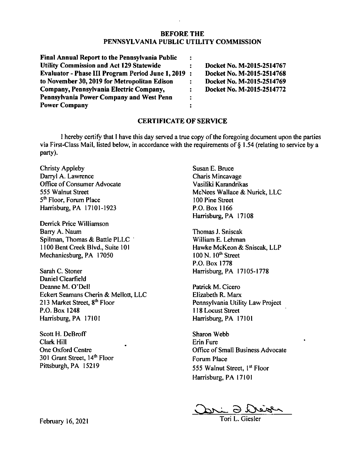## **BEFORE THE PENNSYLVANIA PUBLIC UTILITY COMMISSION**

| Final Annual Report to the Pennsylvania Public    | ÷              |                           |
|---------------------------------------------------|----------------|---------------------------|
| <b>Utility Commission and Act 129 Statewide</b>   | $\ddot{\cdot}$ | Docket No. M-2015-2514767 |
| Evaluator - Phase III Program Period June 1, 2019 | $\ddot{\cdot}$ | Docket No. M-2015-2514768 |
| to November 30, 2019 for Metropolitan Edison      | $\ddot{\cdot}$ | Docket No. M-2015-2514769 |
| Company, Pennsylvania Electric Company,           | $\mathbf{r}$   | Docket No. M-2015-2514772 |
| Pennsylvania Power Company and West Penn          | :              |                           |
| <b>Power Company</b>                              |                |                           |

## **CERTIFICATE OF SERVICE**

I hereby certify that I have this day served a true copy of the foregoing document upon the parties via First-Class Mail, listed below, in accordance with the requirements of § 1.54 (relating to service by a party).

Christy Appleby Darryl A. Lawrence Office of Consumer Advocate 555 Walnut Street 5<sup>th</sup> Floor, Forum Place Harrisburg, PA 17101-1923

Derrick Price Williamson Barry A. Naum Spilman, Thomas & Battle PLLC 1100 Bent Creek Blvd., Suite 101 Mechanicsburg, PA 17050

Sarah C. Stoner Harrisburg, PA 17105-1778 Daniel Clearfield Deanne M. O'Dell Eckert Seamans Cherin & Mellott, LLC 213 Market Street, 8<sup>th</sup> Floor P.O. Box 1248 Harrisburg, PA 17101

Scott H. DeBroff Clark Hill One Oxford Centre 301 Grant Street, 14<sup>th</sup> Floor Pittsburgh, PA 15219

Susan E. Bruce Charis Mincavage Vasiliki Karandrikas McNees Wallace & Nurick, LLC 100 Pine Street P.O. Box 1166 Harrisburg, PA 17108

Thomas J. Sniscak William E. Lehman Hawke McKeon & Sniscak, LLP  $100$  N.  $10<sup>th</sup>$  Street P.O. Box 1778

Patrick M. Cicero Elizabeth R. Marx Pennsylvania Utility Law Project 118 Locust Street Harrisburg, PA 17101

Sharon Webb Erin Fure Office of Small Business Advocate Forum Place 555 Walnut Street, 1<sup>st</sup> Floor Harrisburg, PA 17101

 $\overline{\mathcal{A}}$ 

Tori L. Giesler

February 16, 2021